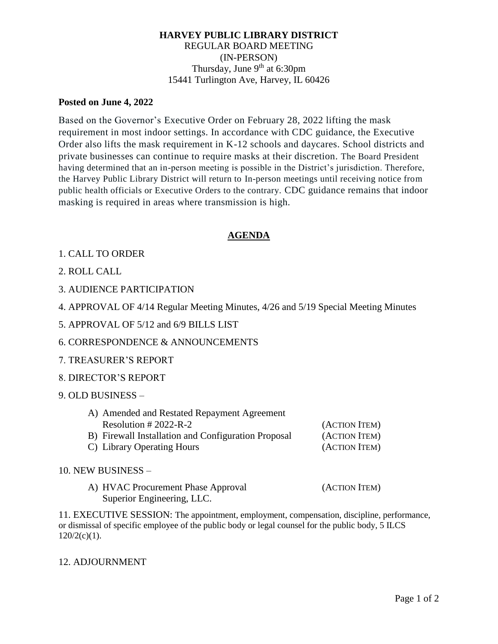### **HARVEY PUBLIC LIBRARY DISTRICT** REGULAR BOARD MEETING (IN-PERSON) Thursday, June  $9<sup>th</sup>$  at 6:30pm 15441 Turlington Ave, Harvey, IL 60426

#### **Posted on June 4, 2022**

Based on the Governor's Executive Order on February 28, 2022 lifting the mask requirement in most indoor settings. In accordance with CDC guidance, the Executive Order also lifts the mask requirement in K-12 schools and daycares. School districts and private businesses can continue to require masks at their discretion. The Board President having determined that an in-person meeting is possible in the District's jurisdiction. Therefore, the Harvey Public Library District will return to In-person meetings until receiving notice from public health officials or Executive Orders to the contrary. CDC guidance remains that indoor masking is required in areas where transmission is high.

## **AGENDA**

## 1. CALL TO ORDER

- 2. ROLL CALL
- 3. AUDIENCE PARTICIPATION
- 4. APPROVAL OF 4/14 Regular Meeting Minutes, 4/26 and 5/19 Special Meeting Minutes
- 5. APPROVAL OF 5/12 and 6/9 BILLS LIST
- 6. CORRESPONDENCE & ANNOUNCEMENTS
- 7. TREASURER'S REPORT
- 8. DIRECTOR'S REPORT
- 9. OLD BUSINESS –

| A) Amended and Restated Repayment Agreement         |               |
|-----------------------------------------------------|---------------|
| Resolution $\# 2022-R-2$                            | (ACTION ITEM) |
| B) Firewall Installation and Configuration Proposal | (ACTION ITEM) |
| C) Library Operating Hours                          | (ACTION ITEM) |

#### 10. NEW BUSINESS –

A) HVAC Procurement Phase Approval (ACTION ITEM) Superior Engineering, LLC.

11. EXECUTIVE SESSION: The appointment, employment, compensation, discipline, performance, or dismissal of specific employee of the public body or legal counsel for the public body, 5 ILCS  $120/2(c)(1)$ .

#### 12. ADJOURNMENT